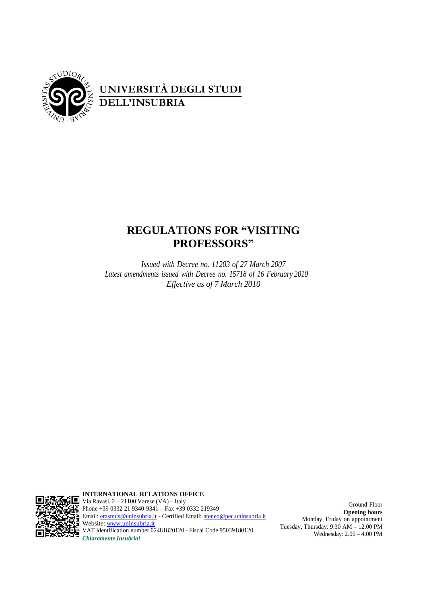

# **REGULATIONS FOR "VISITING PROFESSORS"**

*Issued with Decree no. 11203 of 27 March 2007 Latest amendments issued with Decree no. 15718 of 16 February 2010 Effective as of 7 March 2010*



**INTERNATIONAL RELATIONS OFFICE** Via Ravasi, 2 – 21100 Varese (VA) – Italy Phone +39 0332 21 9340-9341 – Fax +39 0332 219349 Email: <u>[erasmus@uninsubria.it](mailto:erasmus@uninsubria.it)</u> - Certified Email: <u>[ateneo@pec.uninsubria.it](mailto:ateneo@pec.uninsubria.it)</u> Website: [www.uninsubria.it](http://www.uninsubria.it/) VAT identification number 02481820120 - Fiscal Code 95039180120 *Chiaramente Insubria!*

Ground Floor **Opening hours** Monday, Friday on appointment Tuesday, Thursday: 9.30 AM – 12.00 PM Wednesday: 2.00 – 4.00 PM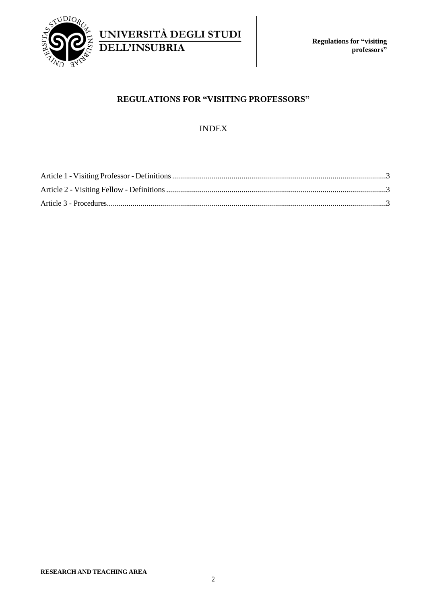

UNIVERSITÀ DEGLI STUDI **DELL'INSUBRIA** 

## **REGULATIONS FOR "VISITING PROFESSORS"**

# INDEX